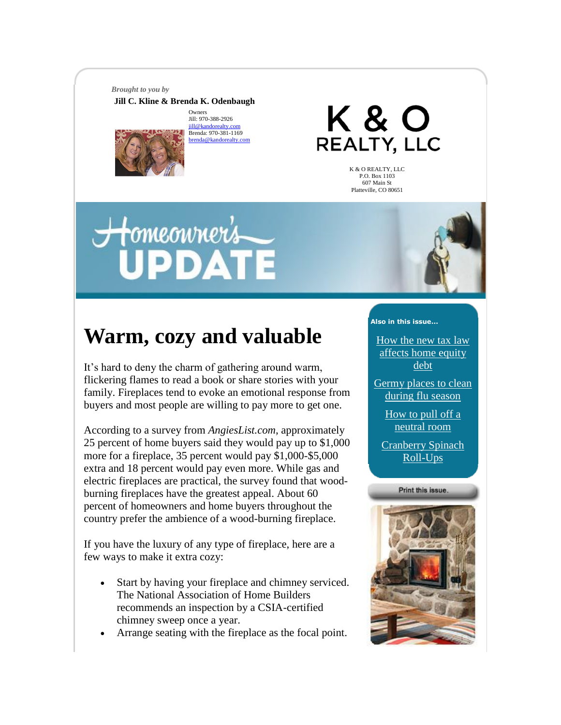*Brought to you by*

**Jill C. Kline & Brenda K. Odenbaugh** 

**Owners** Jill: 970-388-2926  $i$ ill@kandorealty Brenda: 970-381-1169 brenda <mark>ar</mark>

K & O REALTY, LLC

> K & O REALTY, LLC P.O. Box 1103 607 Main St Platteville, CO 80651

# <del>H</del>omeonrer's **IPDATE**



## **Warm, cozy and valuable**

It's hard to deny the charm of gathering around warm, flickering flames to read a book or share stories with your family. Fireplaces tend to evoke an emotional response from buyers and most people are willing to pay more to get one.

According to a survey from *AngiesList.com*, approximately 25 percent of home buyers said they would pay up to \$1,000 more for a fireplace, 35 percent would pay \$1,000-\$5,000 extra and 18 percent would pay even more. While gas and electric fireplaces are practical, the survey found that woodburning fireplaces have the greatest appeal. About 60 percent of homeowners and home buyers throughout the country prefer the ambience of a wood-burning fireplace.

If you have the luxury of any type of fireplace, here are a few ways to make it extra cozy:

- Start by having your fireplace and chimney serviced. The National Association of Home Builders recommends an inspection by a CSIA-certified chimney sweep once a year.
- Arrange seating with the fireplace as the focal point.

#### **Also in this issue...**

[How the new tax law](https://mail.aol.com/webmail-std/en-us/suite#2)  [affects home equity](https://mail.aol.com/webmail-std/en-us/suite#2)  [debt](https://mail.aol.com/webmail-std/en-us/suite#2)

[Germy places to clean](https://mail.aol.com/webmail-std/en-us/suite#3)  [during flu season](https://mail.aol.com/webmail-std/en-us/suite#3)

> [How to pull off a](https://mail.aol.com/webmail-std/en-us/suite#4)  [neutral room](https://mail.aol.com/webmail-std/en-us/suite#4)

[Cranberry Spinach](https://mail.aol.com/webmail-std/en-us/suite#5)  [Roll-Ups](https://mail.aol.com/webmail-std/en-us/suite#5)



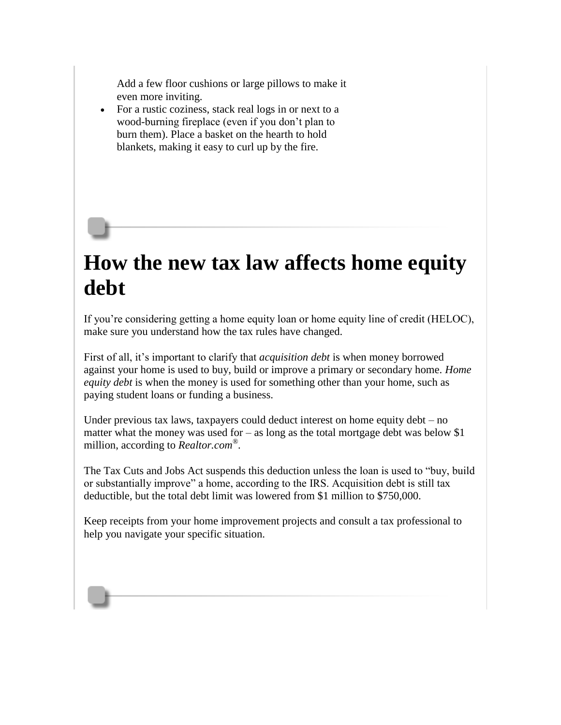Add a few floor cushions or large pillows to make it even more inviting.

• For a rustic coziness, stack real logs in or next to a wood-burning fireplace (even if you don't plan to burn them). Place a basket on the hearth to hold blankets, making it easy to curl up by the fire.

### **How the new tax law affects home equity debt**

If you're considering getting a home equity loan or home equity line of credit (HELOC), make sure you understand how the tax rules have changed.

First of all, it's important to clarify that *acquisition debt* is when money borrowed against your home is used to buy, build or improve a primary or secondary home. *Home equity debt* is when the money is used for something other than your home, such as paying student loans or funding a business.

Under previous tax laws, taxpayers could deduct interest on home equity debt – no matter what the money was used for  $-$  as long as the total mortgage debt was below \$1 million, according to *Realtor.com® .*

The Tax Cuts and Jobs Act suspends this deduction unless the loan is used to "buy, build or substantially improve" a home, according to the IRS. Acquisition debt is still tax deductible, but the total debt limit was lowered from \$1 million to \$750,000.

Keep receipts from your home improvement projects and consult a tax professional to help you navigate your specific situation.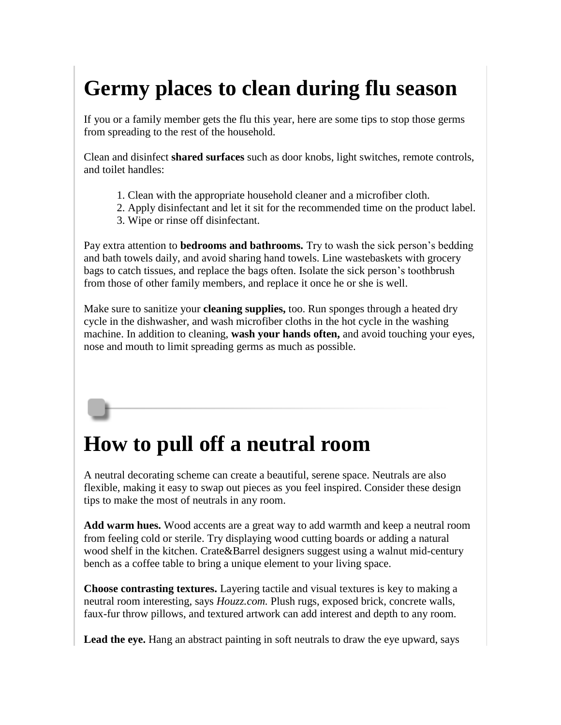# **Germy places to clean during flu season**

If you or a family member gets the flu this year, here are some tips to stop those germs from spreading to the rest of the household.

Clean and disinfect **shared surfaces** such as door knobs, light switches, remote controls, and toilet handles:

- 1. Clean with the appropriate household cleaner and a microfiber cloth.
- 2. Apply disinfectant and let it sit for the recommended time on the product label.
- 3. Wipe or rinse off disinfectant.

Pay extra attention to **bedrooms and bathrooms.** Try to wash the sick person's bedding and bath towels daily, and avoid sharing hand towels. Line wastebaskets with grocery bags to catch tissues, and replace the bags often. Isolate the sick person's toothbrush from those of other family members, and replace it once he or she is well.

Make sure to sanitize your **cleaning supplies,** too. Run sponges through a heated dry cycle in the dishwasher, and wash microfiber cloths in the hot cycle in the washing machine. In addition to cleaning, **wash your hands often,** and avoid touching your eyes, nose and mouth to limit spreading germs as much as possible.

### **How to pull off a neutral room**

A neutral decorating scheme can create a beautiful, serene space. Neutrals are also flexible, making it easy to swap out pieces as you feel inspired. Consider these design tips to make the most of neutrals in any room.

**Add warm hues.** Wood accents are a great way to add warmth and keep a neutral room from feeling cold or sterile. Try displaying wood cutting boards or adding a natural wood shelf in the kitchen. Crate&Barrel designers suggest using a walnut mid-century bench as a coffee table to bring a unique element to your living space.

**Choose contrasting textures.** Layering tactile and visual textures is key to making a neutral room interesting, says *Houzz.com.* Plush rugs, exposed brick, concrete walls, faux-fur throw pillows, and textured artwork can add interest and depth to any room.

Lead the eye. Hang an abstract painting in soft neutrals to draw the eye upward, says